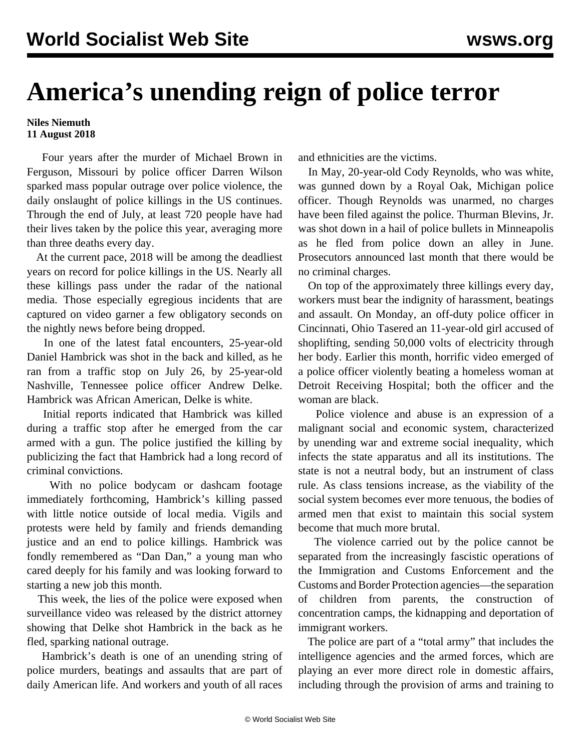## **America's unending reign of police terror**

## **Niles Niemuth 11 August 2018**

 Four years after the murder of Michael Brown in Ferguson, Missouri by police officer Darren Wilson sparked mass popular outrage over police violence, the daily onslaught of police killings in the US continues. Through the end of July, at least 720 people have had their lives taken by the police this year, averaging more than three deaths every day.

 At the current pace, 2018 will be among the deadliest years on record for police killings in the US. Nearly all these killings pass under the radar of the national media. Those especially egregious incidents that are captured on video garner a few obligatory seconds on the nightly news before being dropped.

 In one of the latest fatal encounters, 25-year-old Daniel Hambrick was shot in the back and killed, as he ran from a traffic stop on July 26, by 25-year-old Nashville, Tennessee police officer Andrew Delke. Hambrick was African American, Delke is white.

 Initial reports indicated that Hambrick was killed during a traffic stop after he emerged from the car armed with a gun. The police justified the killing by publicizing the fact that Hambrick had a long record of criminal convictions.

 With no police bodycam or dashcam footage immediately forthcoming, Hambrick's killing passed with little notice outside of local media. Vigils and protests were held by family and friends demanding justice and an end to police killings. Hambrick was fondly remembered as "Dan Dan," a young man who cared deeply for his family and was looking forward to starting a new job this month.

 This week, the lies of the police were exposed when surveillance video was released by the district attorney showing that Delke shot Hambrick in the back as he fled, sparking national outrage.

 Hambrick's death is one of an unending string of police murders, beatings and assaults that are part of daily American life. And workers and youth of all races

and ethnicities are the victims.

 In May, 20-year-old Cody Reynolds, who was white, was gunned down by a Royal Oak, Michigan police officer. Though Reynolds was unarmed, no charges have been filed against the police. Thurman Blevins, Jr. was shot down in a hail of police bullets in Minneapolis as he fled from police down an alley in June. Prosecutors announced last month that there would be no criminal charges.

 On top of the approximately three killings every day, workers must bear the indignity of harassment, beatings and assault. On Monday, an off-duty police officer in Cincinnati, Ohio Tasered an 11-year-old girl accused of shoplifting, sending 50,000 volts of electricity through her body. Earlier this month, horrific video emerged of a police officer violently beating a homeless woman at Detroit Receiving Hospital; both the officer and the woman are black.

 Police violence and abuse is an expression of a malignant social and economic system, characterized by unending war and extreme social inequality, which infects the state apparatus and all its institutions. The state is not a neutral body, but an instrument of class rule. As class tensions increase, as the viability of the social system becomes ever more tenuous, the bodies of armed men that exist to maintain this social system become that much more brutal.

 The violence carried out by the police cannot be separated from the increasingly fascistic operations of the Immigration and Customs Enforcement and the Customs and Border Protection agencies—the separation of children from parents, the construction of concentration camps, the kidnapping and deportation of immigrant workers.

 The police are part of a "total army" that includes the intelligence agencies and the armed forces, which are playing an ever more direct role in domestic affairs, including through the provision of arms and training to